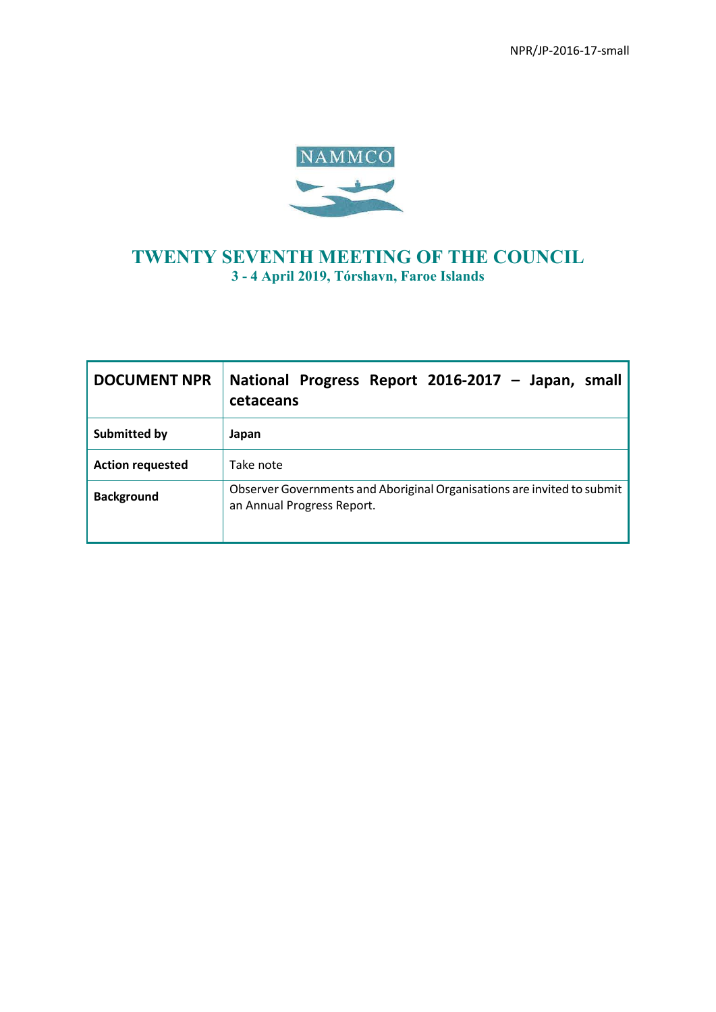NPR/JP-2016-17-small



# **TWENTY SEVENTH MEETING OF THE COUNCIL 3 - 4 April 2019, Tórshavn, Faroe Islands**

| <b>DOCUMENT NPR</b>     | National Progress Report 2016-2017 - Japan, small<br>cetaceans                                        |
|-------------------------|-------------------------------------------------------------------------------------------------------|
| <b>Submitted by</b>     | Japan                                                                                                 |
| <b>Action requested</b> | Take note                                                                                             |
| <b>Background</b>       | Observer Governments and Aboriginal Organisations are invited to submit<br>an Annual Progress Report. |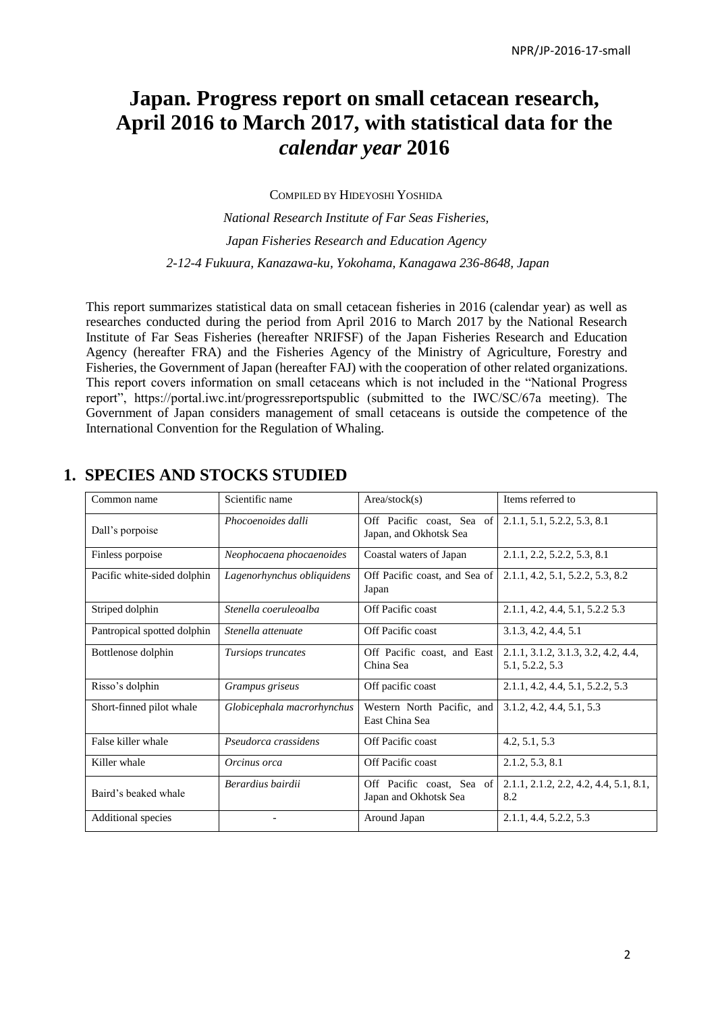# **Japan. Progress report on small cetacean research, April 2016 to March 2017, with statistical data for the**  *calendar year* **2016**

COMPILED BY HIDEYOSHI YOSHIDA

*National Research Institute of Far Seas Fisheries, Japan Fisheries Research and Education Agency 2-12-4 Fukuura, Kanazawa-ku, Yokohama, Kanagawa 236-8648, Japan*

This report summarizes statistical data on small cetacean fisheries in 2016 (calendar year) as well as researches conducted during the period from April 2016 to March 2017 by the National Research Institute of Far Seas Fisheries (hereafter NRIFSF) of the Japan Fisheries Research and Education Agency (hereafter FRA) and the Fisheries Agency of the Ministry of Agriculture, Forestry and Fisheries, the Government of Japan (hereafter FAJ) with the cooperation of other related organizations. This report covers information on small cetaceans which is not included in the "National Progress report", https://portal.iwc.int/progressreportspublic (submitted to the IWC/SC/67a meeting). The Government of Japan considers management of small cetaceans is outside the competence of the International Convention for the Regulation of Whaling.

| Common name                 | Scientific name            | Area/stock(s)                                       | Items referred to                                      |
|-----------------------------|----------------------------|-----------------------------------------------------|--------------------------------------------------------|
| Dall's porpoise             | Phocoenoides dalli         | Off Pacific coast, Sea of<br>Japan, and Okhotsk Sea | 2.1.1, 5.1, 5.2.2, 5.3, 8.1                            |
| Finless porpoise            | Neophocaena phocaenoides   | Coastal waters of Japan                             | 2.1.1, 2.2, 5.2.2, 5.3, 8.1                            |
| Pacific white-sided dolphin | Lagenorhynchus obliquidens | Off Pacific coast, and Sea of<br>Japan              | 2.1.1, 4.2, 5.1, 5.2.2, 5.3, 8.2                       |
| Striped dolphin             | Stenella coeruleoalba      | Off Pacific coast                                   | 2.1.1, 4.2, 4.4, 5.1, 5.2.2 5.3                        |
| Pantropical spotted dolphin | Stenella attenuate         | Off Pacific coast                                   | 3.1.3, 4.2, 4.4, 5.1                                   |
| Bottlenose dolphin          | Tursiops truncates         | Off Pacific coast, and East<br>China Sea            | 2.1.1, 3.1.2, 3.1.3, 3.2, 4.2, 4.4,<br>5.1, 5.2.2, 5.3 |
| Risso's dolphin             | Grampus griseus            | Off pacific coast                                   | 2.1.1, 4.2, 4.4, 5.1, 5.2.2, 5.3                       |
| Short-finned pilot whale    | Globicephala macrorhynchus | Western North Pacific, and<br>East China Sea        | 3.1.2, 4.2, 4.4, 5.1, 5.3                              |
| False killer whale          | Pseudorca crassidens       | Off Pacific coast                                   | 4.2, 5.1, 5.3                                          |
| Killer whale                | Orcinus orca               | Off Pacific coast                                   | 2.1.2, 5.3, 8.1                                        |
| Baird's beaked whale        | Berardius bairdii          | Off Pacific coast, Sea of<br>Japan and Okhotsk Sea  | $2.1.1, 2.1.2, 2.2, 4.2, 4.4, 5.1, 8.1,$<br>8.2        |
| Additional species          |                            | Around Japan                                        | 2.1.1.4.4.5.2.2.5.3                                    |

# **1. SPECIES AND STOCKS STUDIED**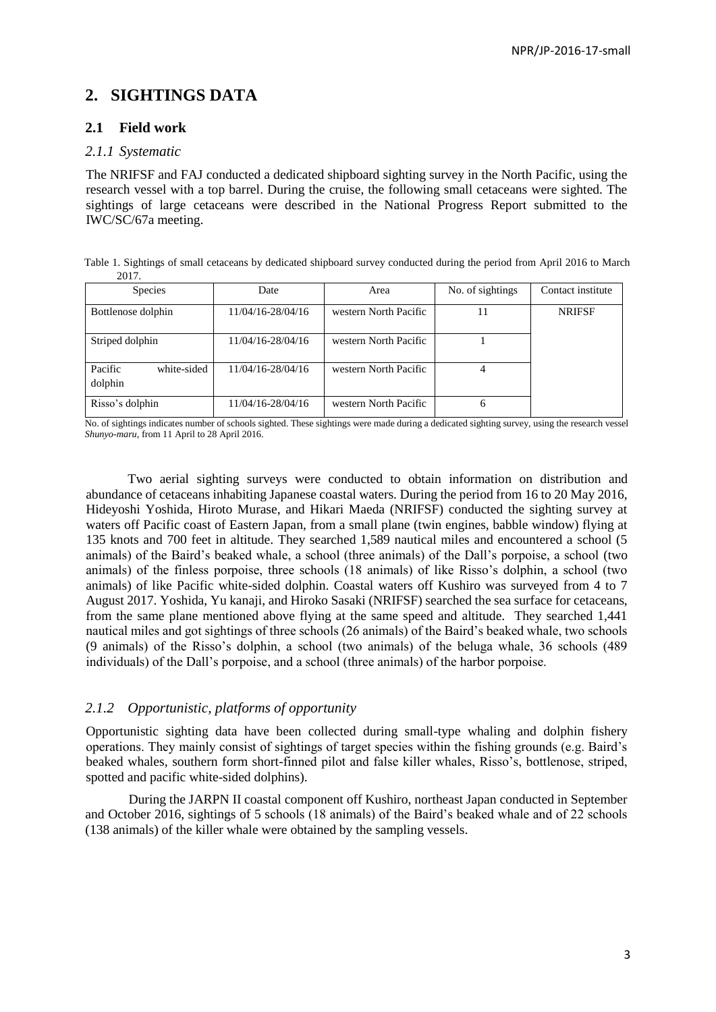# **2. SIGHTINGS DATA**

# **2.1 Field work**

#### *2.1.1 Systematic*

The NRIFSF and FAJ conducted a dedicated shipboard sighting survey in the North Pacific, using the research vessel with a top barrel. During the cruise, the following small cetaceans were sighted. The sightings of large cetaceans were described in the National Progress Report submitted to the IWC/SC/67a meeting.

Table 1. Sightings of small cetaceans by dedicated shipboard survey conducted during the period from April 2016 to March 2017.

| <b>Species</b>                    | Date              | Area                  | No. of sightings | Contact institute |
|-----------------------------------|-------------------|-----------------------|------------------|-------------------|
| Bottlenose dolphin                | 11/04/16-28/04/16 | western North Pacific |                  | <b>NRIFSF</b>     |
| Striped dolphin                   | 11/04/16-28/04/16 | western North Pacific |                  |                   |
| Pacific<br>white-sided<br>dolphin | 11/04/16-28/04/16 | western North Pacific |                  |                   |
| Risso's dolphin                   | 11/04/16-28/04/16 | western North Pacific |                  |                   |

No. of sightings indicates number of schools sighted. These sightings were made during a dedicated sighting survey, using the research vessel *Shunyo-maru*, from 11 April to 28 April 2016.

Two aerial sighting surveys were conducted to obtain information on distribution and abundance of cetaceans inhabiting Japanese coastal waters. During the period from 16 to 20 May 2016, Hideyoshi Yoshida, Hiroto Murase, and Hikari Maeda (NRIFSF) conducted the sighting survey at waters off Pacific coast of Eastern Japan, from a small plane (twin engines, babble window) flying at 135 knots and 700 feet in altitude. They searched 1,589 nautical miles and encountered a school (5 animals) of the Baird's beaked whale, a school (three animals) of the Dall's porpoise, a school (two animals) of the finless porpoise, three schools (18 animals) of like Risso's dolphin, a school (two animals) of like Pacific white-sided dolphin. Coastal waters off Kushiro was surveyed from 4 to 7 August 2017. Yoshida, Yu kanaji, and Hiroko Sasaki (NRIFSF) searched the sea surface for cetaceans, from the same plane mentioned above flying at the same speed and altitude. They searched 1,441 nautical miles and got sightings of three schools (26 animals) of the Baird's beaked whale, two schools (9 animals) of the Risso's dolphin, a school (two animals) of the beluga whale, 36 schools (489 individuals) of the Dall's porpoise, and a school (three animals) of the harbor porpoise.

### *2.1.2 Opportunistic, platforms of opportunity*

Opportunistic sighting data have been collected during small-type whaling and dolphin fishery operations. They mainly consist of sightings of target species within the fishing grounds (e.g. Baird's beaked whales, southern form short-finned pilot and false killer whales, Risso's, bottlenose, striped, spotted and pacific white-sided dolphins).

During the JARPN II coastal component off Kushiro, northeast Japan conducted in September and October 2016, sightings of 5 schools (18 animals) of the Baird's beaked whale and of 22 schools (138 animals) of the killer whale were obtained by the sampling vessels.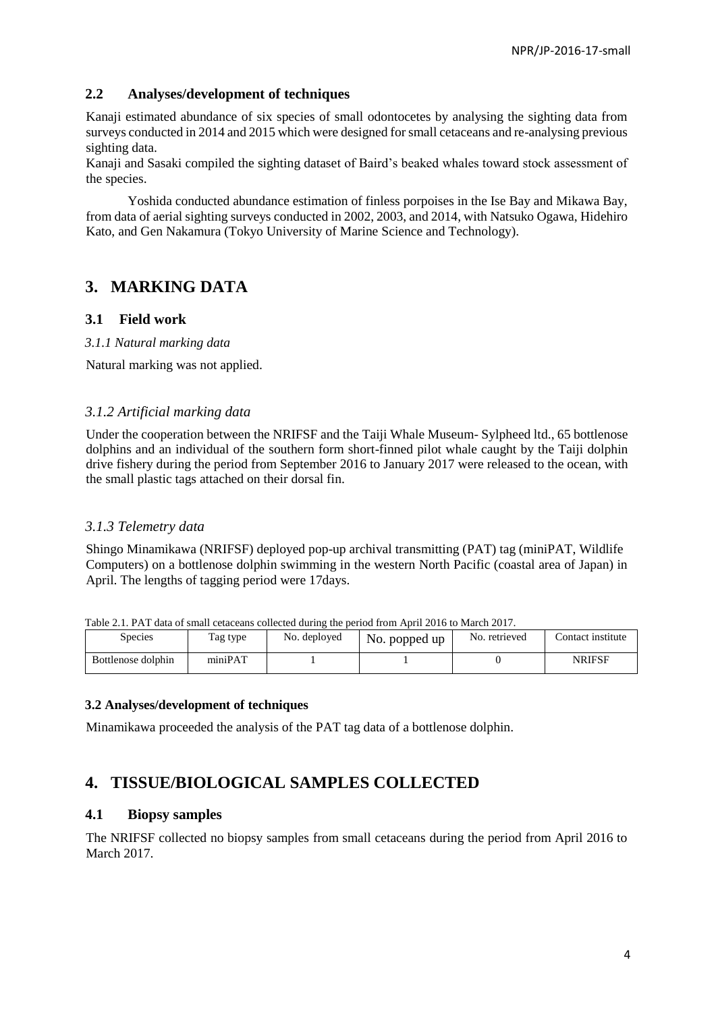### **2.2 Analyses/development of techniques**

Kanaji estimated abundance of six species of small odontocetes by analysing the sighting data from surveys conducted in 2014 and 2015 which were designed for small cetaceans and re-analysing previous sighting data.

Kanaji and Sasaki compiled the sighting dataset of Baird's beaked whales toward stock assessment of the species.

Yoshida conducted abundance estimation of finless porpoises in the Ise Bay and Mikawa Bay, from data of aerial sighting surveys conducted in 2002, 2003, and 2014, with Natsuko Ogawa, Hidehiro Kato, and Gen Nakamura (Tokyo University of Marine Science and Technology).

# **3. MARKING DATA**

### **3.1 Field work**

#### *3.1.1 Natural marking data*

Natural marking was not applied.

### *3.1.2 Artificial marking data*

Under the cooperation between the NRIFSF and the Taiji Whale Museum- Sylpheed ltd., 65 bottlenose dolphins and an individual of the southern form short-finned pilot whale caught by the Taiji dolphin drive fishery during the period from September 2016 to January 2017 were released to the ocean, with the small plastic tags attached on their dorsal fin.

# *3.1.3 Telemetry data*

Shingo Minamikawa (NRIFSF) deployed pop-up archival transmitting (PAT) tag (miniPAT, Wildlife Computers) on a bottlenose dolphin swimming in the western North Pacific (coastal area of Japan) in April. The lengths of tagging period were 17days.

| Table 2.1. FAT data of small celaceally conected during the period from April 2010 to March 2017. |          |              |               |               |                   |  |
|---------------------------------------------------------------------------------------------------|----------|--------------|---------------|---------------|-------------------|--|
| Species                                                                                           | Tag type | No. deployed | No. popped up | No. retrieved | Contact institute |  |
| Bottlenose dolphin                                                                                | miniPAT  |              |               |               | NRIFSF            |  |

Table 2.1. PAT data of small cetaceans collected during the period from April 2016 to March 2017.

### **3.2 Analyses/development of techniques**

Minamikawa proceeded the analysis of the PAT tag data of a bottlenose dolphin.

# **4. TISSUE/BIOLOGICAL SAMPLES COLLECTED**

### **4.1 Biopsy samples**

The NRIFSF collected no biopsy samples from small cetaceans during the period from April 2016 to March 2017.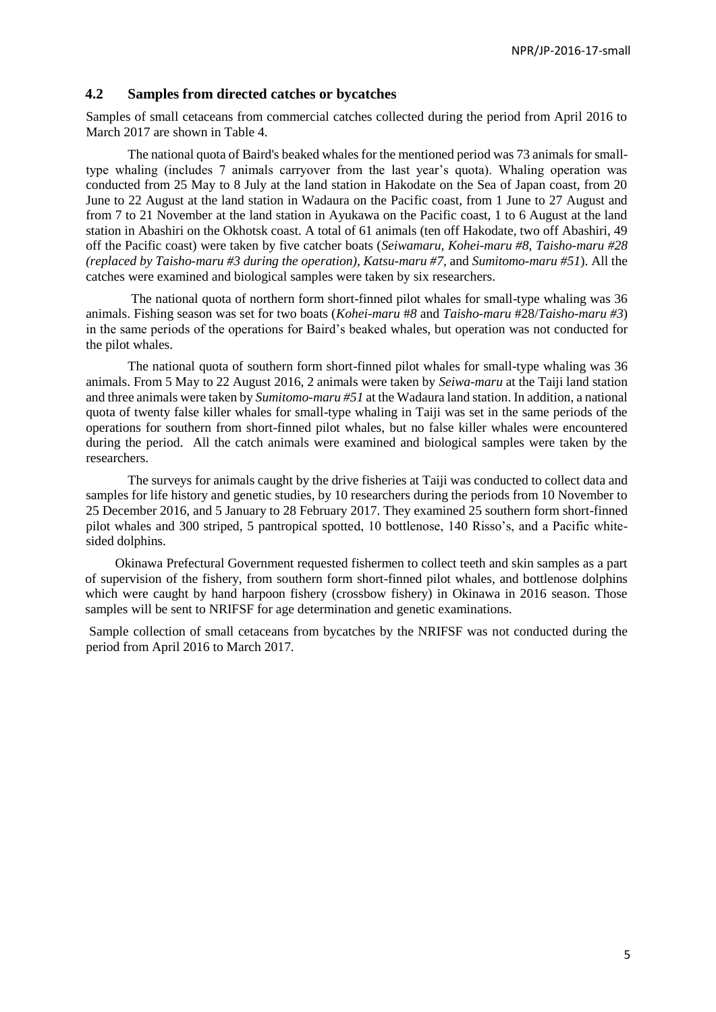### **4.2 Samples from directed catches or bycatches**

Samples of small cetaceans from commercial catches collected during the period from April 2016 to March 2017 are shown in Table 4.

The national quota of Baird's beaked whales for the mentioned period was 73 animals for smalltype whaling (includes 7 animals carryover from the last year's quota). Whaling operation was conducted from 25 May to 8 July at the land station in Hakodate on the Sea of Japan coast, from 20 June to 22 August at the land station in Wadaura on the Pacific coast, from 1 June to 27 August and from 7 to 21 November at the land station in Ayukawa on the Pacific coast, 1 to 6 August at the land station in Abashiri on the Okhotsk coast. A total of 61 animals (ten off Hakodate, two off Abashiri, 49 off the Pacific coast) were taken by five catcher boats (*Seiwamaru*, *Kohei-maru #8*, *Taisho-maru #28 (replaced by Taisho-maru #3 during the operation), Katsu-maru #7,* and *Sumitomo-maru #51*). All the catches were examined and biological samples were taken by six researchers.

The national quota of northern form short-finned pilot whales for small-type whaling was 36 animals. Fishing season was set for two boats (*Kohei-maru* #*8* and *Taisho-maru* #28/*Taisho-maru #3*) in the same periods of the operations for Baird's beaked whales, but operation was not conducted for the pilot whales.

The national quota of southern form short-finned pilot whales for small-type whaling was 36 animals. From 5 May to 22 August 2016, 2 animals were taken by *Seiwa-maru* at the Taiji land station and three animals were taken by *Sumitomo-maru #51* at the Wadaura land station. In addition, a national quota of twenty false killer whales for small-type whaling in Taiji was set in the same periods of the operations for southern from short-finned pilot whales, but no false killer whales were encountered during the period. All the catch animals were examined and biological samples were taken by the researchers.

The surveys for animals caught by the drive fisheries at Taiji was conducted to collect data and samples for life history and genetic studies, by 10 researchers during the periods from 10 November to 25 December 2016, and 5 January to 28 February 2017. They examined 25 southern form short-finned pilot whales and 300 striped, 5 pantropical spotted, 10 bottlenose, 140 Risso's, and a Pacific whitesided dolphins.

Okinawa Prefectural Government requested fishermen to collect teeth and skin samples as a part of supervision of the fishery, from southern form short-finned pilot whales, and bottlenose dolphins which were caught by hand harpoon fishery (crossbow fishery) in Okinawa in 2016 season. Those samples will be sent to NRIFSF for age determination and genetic examinations.

Sample collection of small cetaceans from bycatches by the NRIFSF was not conducted during the period from April 2016 to March 2017.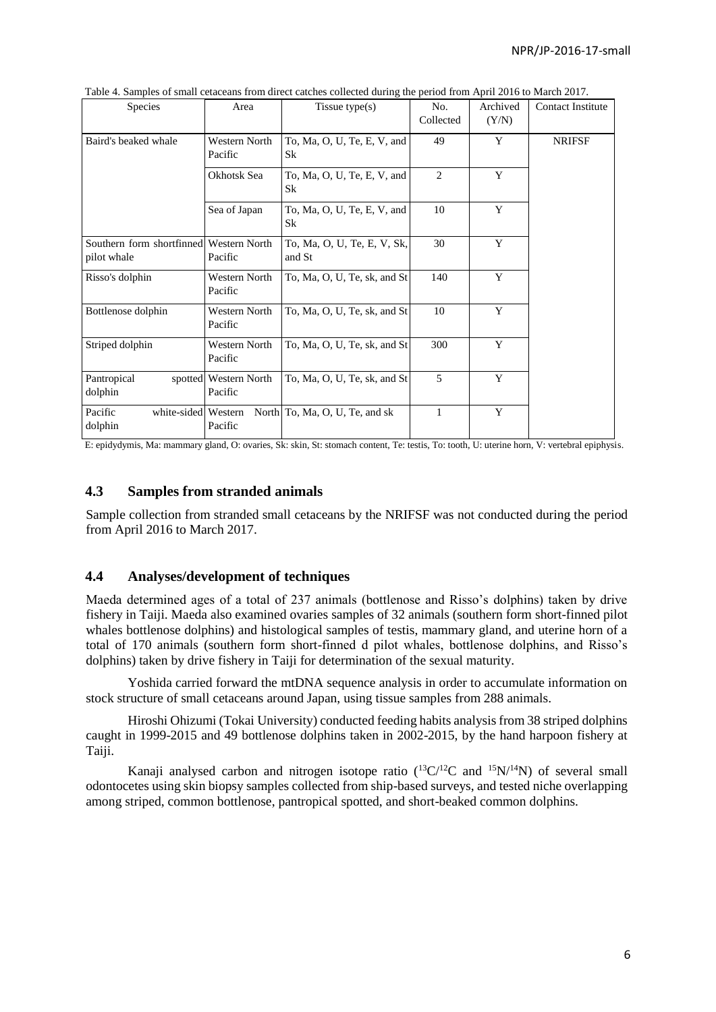| Species                                                | Area                             | Tissue type $(s)$                        | No.<br>Collected | Archived<br>(Y/N) | <b>Contact Institute</b> |
|--------------------------------------------------------|----------------------------------|------------------------------------------|------------------|-------------------|--------------------------|
| Baird's beaked whale                                   | Western North<br>Pacific         | To, Ma, O, U, Te, E, V, and<br><b>Sk</b> | 49               | Y                 | <b>NRIFSF</b>            |
|                                                        | Okhotsk Sea                      | To, Ma, O, U, Te, E, V, and<br>Sk        | 2                | Y                 |                          |
|                                                        | Sea of Japan                     | To, Ma, O, U, Te, E, V, and<br><b>Sk</b> | 10               | Y                 |                          |
| Southern form shortfinned Western North<br>pilot whale | Pacific                          | To, Ma, O, U, Te, E, V, Sk,<br>and St    | 30               | Y                 |                          |
| Risso's dolphin                                        | Western North<br>Pacific         | To, Ma, O, U, Te, sk, and St             | 140              | Y                 |                          |
| Bottlenose dolphin                                     | Western North<br>Pacific         | To, Ma, O, U, Te, sk, and $St$           | 10               | Y                 |                          |
| Striped dolphin                                        | Western North<br>Pacific         | To, Ma, O, U, Te, sk, and St             | 300              | Y                 |                          |
| Pantropical<br>dolphin                                 | spotted Western North<br>Pacific | To, Ma, O, U, Te, sk, and St             | 5                | Y                 |                          |
| Pacific<br>white-sided Western<br>dolphin              | Pacific                          | North To, Ma, O, U, Te, and sk           | 1                | Y                 |                          |

Table 4. Samples of small cetaceans from direct catches collected during the period from April 2016 to March 2017.

E: epidydymis, Ma: mammary gland, O: ovaries, Sk: skin, St: stomach content, Te: testis, To: tooth, U: uterine horn, V: vertebral epiphysis.

### **4.3 Samples from stranded animals**

Sample collection from stranded small cetaceans by the NRIFSF was not conducted during the period from April 2016 to March 2017.

### **4.4 Analyses/development of techniques**

Maeda determined ages of a total of 237 animals (bottlenose and Risso's dolphins) taken by drive fishery in Taiji. Maeda also examined ovaries samples of 32 animals (southern form short-finned pilot whales bottlenose dolphins) and histological samples of testis, mammary gland, and uterine horn of a total of 170 animals (southern form short-finned d pilot whales, bottlenose dolphins, and Risso's dolphins) taken by drive fishery in Taiji for determination of the sexual maturity.

Yoshida carried forward the mtDNA sequence analysis in order to accumulate information on stock structure of small cetaceans around Japan, using tissue samples from 288 animals.

Hiroshi Ohizumi (Tokai University) conducted feeding habits analysis from 38 striped dolphins caught in 1999-2015 and 49 bottlenose dolphins taken in 2002-2015, by the hand harpoon fishery at Taiji.

Kanaji analysed carbon and nitrogen isotope ratio  $(^{13}C/^{12}C$  and  $^{15}N/^{14}N$  of several small odontocetes using skin biopsy samples collected from ship-based surveys, and tested niche overlapping among striped, common bottlenose, pantropical spotted, and short-beaked common dolphins.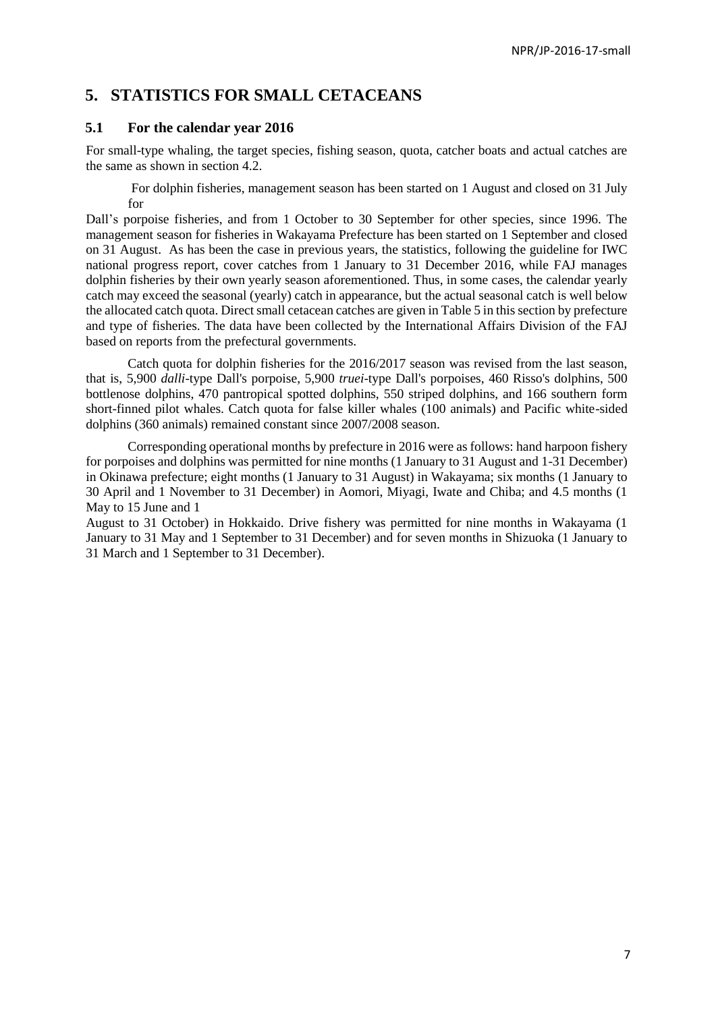# **5. STATISTICS FOR SMALL CETACEANS**

### **5.1 For the calendar year 2016**

For small-type whaling, the target species, fishing season, quota, catcher boats and actual catches are the same as shown in section 4.2.

For dolphin fisheries, management season has been started on 1 August and closed on 31 July for

Dall's porpoise fisheries, and from 1 October to 30 September for other species, since 1996. The management season for fisheries in Wakayama Prefecture has been started on 1 September and closed on 31 August. As has been the case in previous years, the statistics, following the guideline for IWC national progress report, cover catches from 1 January to 31 December 2016, while FAJ manages dolphin fisheries by their own yearly season aforementioned. Thus, in some cases, the calendar yearly catch may exceed the seasonal (yearly) catch in appearance, but the actual seasonal catch is well below the allocated catch quota. Direct small cetacean catches are given in Table 5 in this section by prefecture and type of fisheries. The data have been collected by the International Affairs Division of the FAJ based on reports from the prefectural governments.

Catch quota for dolphin fisheries for the 2016/2017 season was revised from the last season, that is, 5,900 *dalli*-type Dall's porpoise, 5,900 *truei*-type Dall's porpoises, 460 Risso's dolphins, 500 bottlenose dolphins, 470 pantropical spotted dolphins, 550 striped dolphins, and 166 southern form short-finned pilot whales. Catch quota for false killer whales (100 animals) and Pacific white-sided dolphins (360 animals) remained constant since 2007/2008 season.

Corresponding operational months by prefecture in 2016 were as follows: hand harpoon fishery for porpoises and dolphins was permitted for nine months (1 January to 31 August and 1-31 December) in Okinawa prefecture; eight months (1 January to 31 August) in Wakayama; six months (1 January to 30 April and 1 November to 31 December) in Aomori, Miyagi, Iwate and Chiba; and 4.5 months (1 May to 15 June and 1

August to 31 October) in Hokkaido. Drive fishery was permitted for nine months in Wakayama (1 January to 31 May and 1 September to 31 December) and for seven months in Shizuoka (1 January to 31 March and 1 September to 31 December).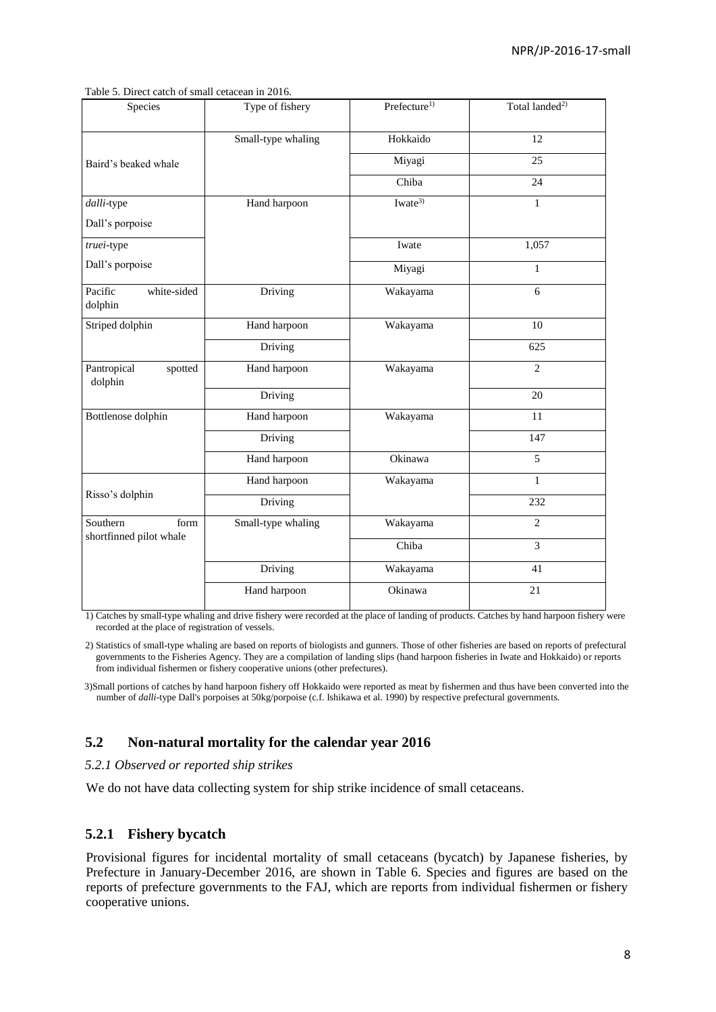Table 5. Direct catch of small cetacean in 2016.

| Species                           | Type of fishery    | Prefecture <sup>1)</sup> | Total landed <sup>2)</sup> |
|-----------------------------------|--------------------|--------------------------|----------------------------|
|                                   | Small-type whaling | Hokkaido                 | 12                         |
| Baird's beaked whale              |                    | Miyagi                   | 25                         |
|                                   |                    | Chiba                    | 24                         |
| dalli-type                        | Hand harpoon       | Iwate <sup>3)</sup>      | $\mathbf{1}$               |
| Dall's porpoise                   |                    |                          |                            |
| truei-type                        |                    | Iwate                    | 1,057                      |
| Dall's porpoise                   |                    | Miyagi                   | $\mathbf{1}$               |
| white-sided<br>Pacific<br>dolphin | Driving            | Wakayama                 | 6                          |
| Striped dolphin                   | Hand harpoon       | Wakayama                 | 10                         |
|                                   | Driving            |                          | 625                        |
| Pantropical<br>spotted<br>dolphin | Hand harpoon       | Wakayama                 | $\overline{2}$             |
|                                   | Driving            |                          | 20                         |
| Bottlenose dolphin                | Hand harpoon       | Wakayama                 | 11                         |
|                                   | Driving            |                          | 147                        |
|                                   | Hand harpoon       | Okinawa                  | 5                          |
|                                   | Hand harpoon       | Wakayama                 | $\mathbf{1}$               |
| Risso's dolphin                   | Driving            |                          | 232                        |
| Southern<br>form                  | Small-type whaling | Wakayama                 | $\overline{2}$             |
| shortfinned pilot whale           |                    | Chiba                    | $\overline{3}$             |
|                                   | Driving            | Wakayama                 | 41                         |
|                                   | Hand harpoon       | Okinawa                  | 21                         |

1) Catches by small-type whaling and drive fishery were recorded at the place of landing of products. Catches by hand harpoon fishery were recorded at the place of registration of vessels.

2) Statistics of small-type whaling are based on reports of biologists and gunners. Those of other fisheries are based on reports of prefectural governments to the Fisheries Agency. They are a compilation of landing slips (hand harpoon fisheries in Iwate and Hokkaido) or reports from individual fishermen or fishery cooperative unions (other prefectures).

3)Small portions of catches by hand harpoon fishery off Hokkaido were reported as meat by fishermen and thus have been converted into the number of *dalli*-type Dall's porpoises at 50kg/porpoise (c.f. Ishikawa et al. 1990) by respective prefectural governments.

# **5.2 Non-natural mortality for the calendar year 2016**

#### *5.2.1 Observed or reported ship strikes*

We do not have data collecting system for ship strike incidence of small cetaceans.

# **5.2.1 Fishery bycatch**

Provisional figures for incidental mortality of small cetaceans (bycatch) by Japanese fisheries, by Prefecture in January-December 2016, are shown in Table 6. Species and figures are based on the reports of prefecture governments to the FAJ, which are reports from individual fishermen or fishery cooperative unions.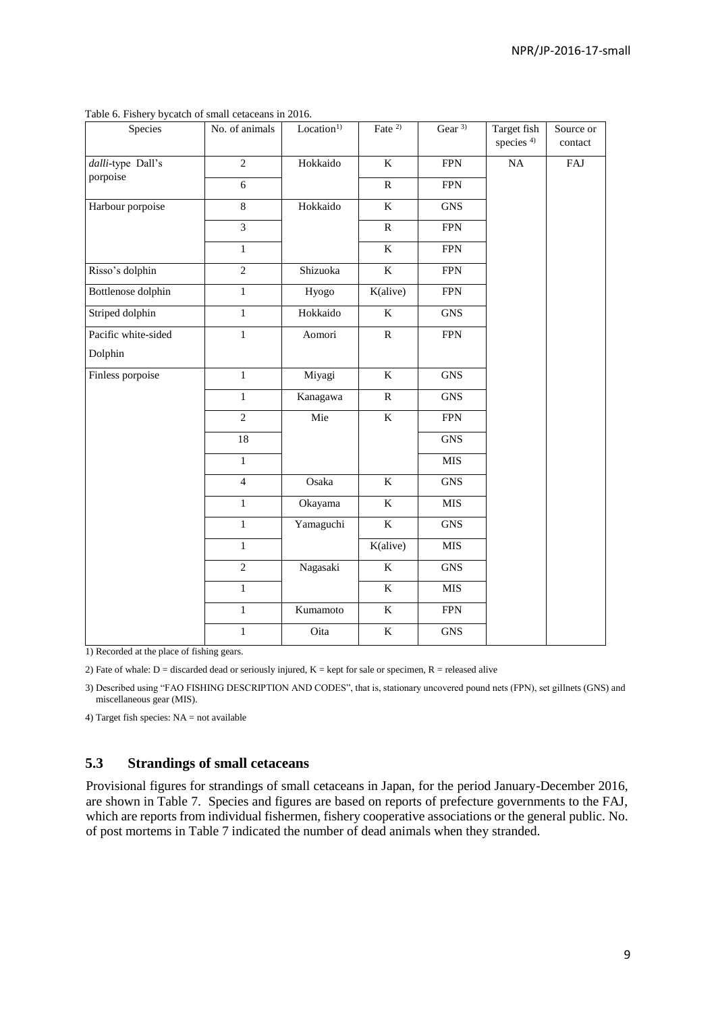| Species             | No. of animals  | Location <sup>1</sup> | Fate $2$                | Gear $3$    | Target fish<br>species <sup>4)</sup> | Source or<br>contact |
|---------------------|-----------------|-----------------------|-------------------------|-------------|--------------------------------------|----------------------|
| dalli-type Dall's   | $\overline{2}$  | Hokkaido              | $\rm K$                 | <b>FPN</b>  | NA                                   | FAJ                  |
| porpoise            | 6               |                       | $\mathbf{R}$            | <b>FPN</b>  |                                      |                      |
| Harbour porpoise    | 8               | Hokkaido              | $\rm K$                 | <b>GNS</b>  |                                      |                      |
|                     | $\overline{3}$  |                       | ${\bf R}$               | <b>FPN</b>  |                                      |                      |
|                     | $\mathbf{1}$    |                       | $\rm K$                 | <b>FPN</b>  |                                      |                      |
| Risso's dolphin     | $\overline{2}$  | Shizuoka              | $\overline{\mathbf{K}}$ | ${\rm FPN}$ |                                      |                      |
| Bottlenose dolphin  | $\mathbf{1}$    | Hyogo                 | K(alive)                | <b>FPN</b>  |                                      |                      |
| Striped dolphin     | $\mathbf{1}$    | Hokkaido              | $\bf K$                 | <b>GNS</b>  |                                      |                      |
| Pacific white-sided | $\,1$           | Aomori                | ${\bf R}$               | <b>FPN</b>  |                                      |                      |
| Dolphin             |                 |                       |                         |             |                                      |                      |
| Finless porpoise    | $\mathbf{1}$    | Miyagi                | $\bf K$                 | <b>GNS</b>  |                                      |                      |
|                     | $\mathbf{1}$    | Kanagawa              | ${\bf R}$               | <b>GNS</b>  |                                      |                      |
|                     | $\overline{2}$  | Mie                   | $\rm K$                 | <b>FPN</b>  |                                      |                      |
|                     | $\overline{18}$ |                       |                         | <b>GNS</b>  |                                      |                      |
|                     | $\mathbf{1}$    |                       |                         | <b>MIS</b>  |                                      |                      |
|                     | $\overline{4}$  | Osaka                 | $\bf K$                 | <b>GNS</b>  |                                      |                      |
|                     | $\mathbf{1}$    | Okayama               | $\bf K$                 | MIS         |                                      |                      |
|                     | $\mathbf{1}$    | Yamaguchi             | $\bf K$                 | <b>GNS</b>  |                                      |                      |
|                     | $\mathbf{1}$    |                       | K(alive)                | MIS         |                                      |                      |
|                     | $\overline{2}$  | Nagasaki              | $\bf K$                 | <b>GNS</b>  |                                      |                      |
|                     | $\mathbf{1}$    |                       | K                       | MIS         |                                      |                      |
|                     | $\mathbf{1}$    | Kumamoto              | $\rm K$                 | <b>FPN</b>  |                                      |                      |
|                     | $\mathbf{1}$    | Oita                  | $\bf K$                 | <b>GNS</b>  |                                      |                      |

Table 6. Fishery bycatch of small cetaceans in 2016.

1) Recorded at the place of fishing gears.

2) Fate of whale:  $D =$  discarded dead or seriously injured,  $K =$  kept for sale or specimen,  $R =$  released alive

3) Described using "FAO FISHING DESCRIPTION AND CODES", that is, stationary uncovered pound nets (FPN), set gillnets (GNS) and miscellaneous gear (MIS).

4) Target fish species: NA = not available

# **5.3 Strandings of small cetaceans**

Provisional figures for strandings of small cetaceans in Japan, for the period January-December 2016, are shown in Table 7. Species and figures are based on reports of prefecture governments to the FAJ, which are reports from individual fishermen, fishery cooperative associations or the general public. No. of post mortems in Table 7 indicated the number of dead animals when they stranded.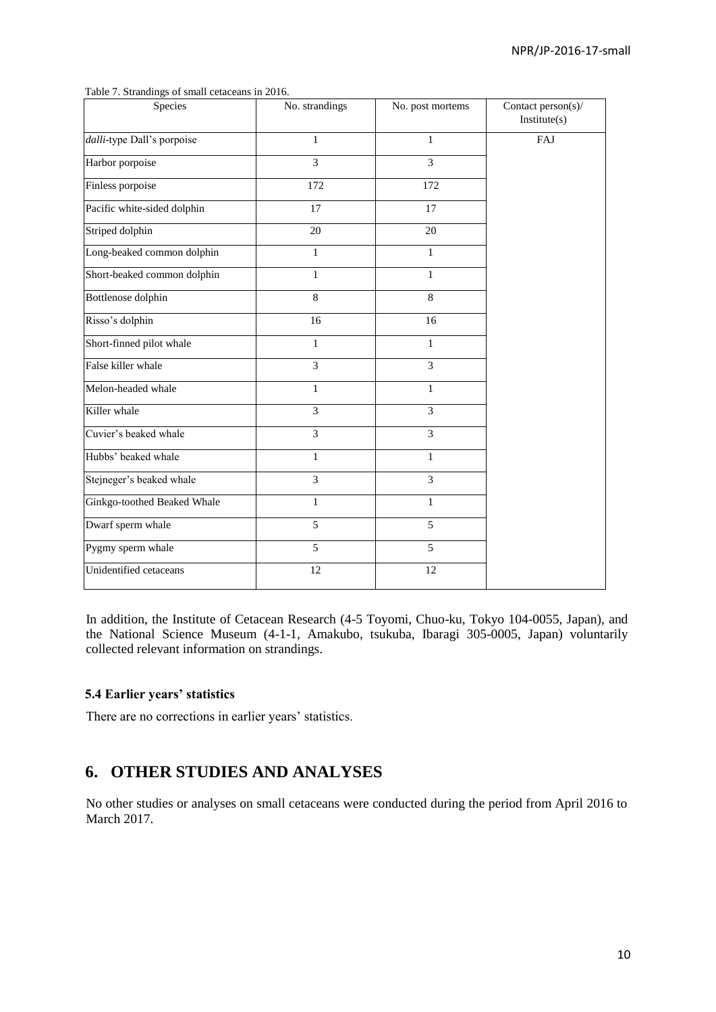| Species                     | No. strandings | No. post mortems | Contact person(s)/<br>Institute(s) |
|-----------------------------|----------------|------------------|------------------------------------|
| dalli-type Dall's porpoise  | $\mathbf{1}$   | $\mathbf{1}$     | FAJ                                |
| Harbor porpoise             | 3              | 3                |                                    |
| Finless porpoise            | 172            | 172              |                                    |
| Pacific white-sided dolphin | 17             | 17               |                                    |
| Striped dolphin             | 20             | 20               |                                    |
| Long-beaked common dolphin  | $\mathbf{1}$   | 1                |                                    |
| Short-beaked common dolphin | $\mathbf{1}$   | $\mathbf{1}$     |                                    |
| Bottlenose dolphin          | 8              | 8                |                                    |
| Risso's dolphin             | 16             | 16               |                                    |
| Short-finned pilot whale    | $\mathbf{1}$   | $\mathbf{1}$     |                                    |
| False killer whale          | $\overline{3}$ | 3                |                                    |
| Melon-headed whale          | $\mathbf{1}$   | 1                |                                    |
| Killer whale                | $\overline{3}$ | 3                |                                    |
| Cuvier's beaked whale       | 3              | 3                |                                    |
| Hubbs' beaked whale         | $\mathbf{1}$   | $\mathbf{1}$     |                                    |
| Stejneger's beaked whale    | $\overline{3}$ | 3                |                                    |
| Ginkgo-toothed Beaked Whale | $\mathbf{1}$   | $\mathbf{1}$     |                                    |
| Dwarf sperm whale           | 5              | 5                |                                    |
| Pygmy sperm whale           | 5              | 5                |                                    |
| Unidentified cetaceans      | 12             | 12               |                                    |

Table 7. Strandings of small cetaceans in 2016.

In addition, the Institute of Cetacean Research (4-5 Toyomi, Chuo-ku, Tokyo 104-0055, Japan), and the National Science Museum (4-1-1, Amakubo, tsukuba, Ibaragi 305-0005, Japan) voluntarily collected relevant information on strandings.

#### **5.4 Earlier years' statistics**

There are no corrections in earlier years' statistics.

# **6. OTHER STUDIES AND ANALYSES**

No other studies or analyses on small cetaceans were conducted during the period from April 2016 to March 2017.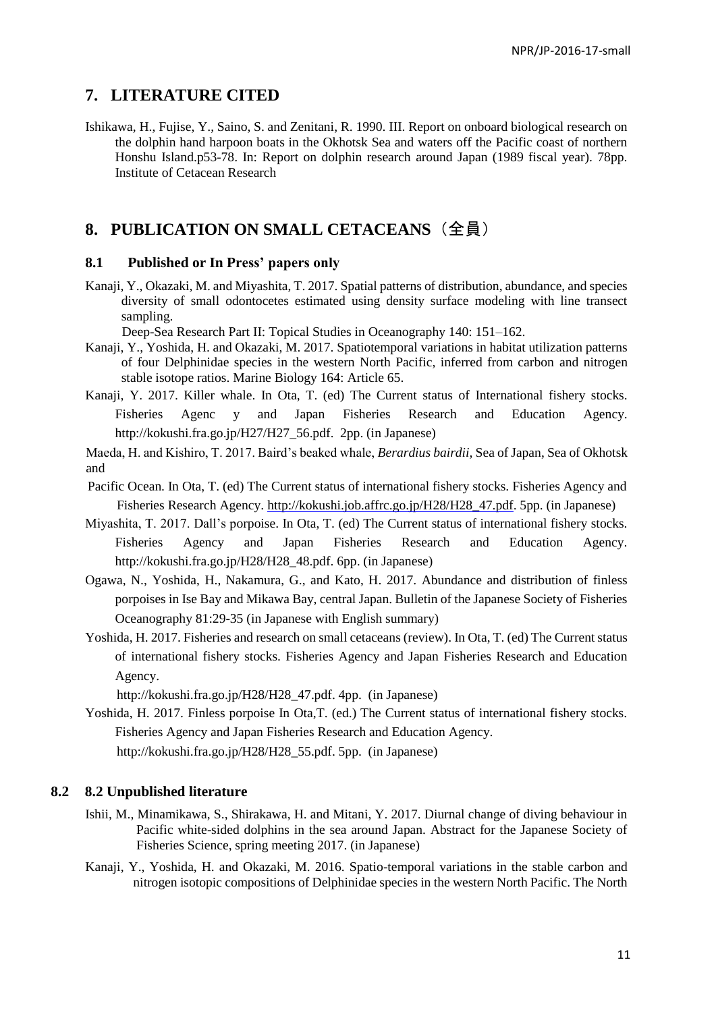# **7. LITERATURE CITED**

Ishikawa, H., Fujise, Y., Saino, S. and Zenitani, R. 1990. III. Report on onboard biological research on the dolphin hand harpoon boats in the Okhotsk Sea and waters off the Pacific coast of northern Honshu Island.p53-78. In: Report on dolphin research around Japan (1989 fiscal year). 78pp. Institute of Cetacean Research

# **8. PUBLICATION ON SMALL CETACEANS**(全員)

#### **8.1 Published or In Press' papers only**

Kanaji, Y., Okazaki, M. and Miyashita, T. 2017. Spatial patterns of distribution, abundance, and species diversity of small odontocetes estimated using density surface modeling with line transect sampling.

Deep-Sea Research Part II: Topical Studies in Oceanography 140: 151–162.

- Kanaji, Y., Yoshida, H. and Okazaki, M. 2017. Spatiotemporal variations in habitat utilization patterns of four Delphinidae species in the western North Pacific, inferred from carbon and nitrogen stable isotope ratios. Marine Biology 164: Article 65.
- Kanaji, Y. 2017. Killer whale. In Ota, T. (ed) The Current status of International fishery stocks. Fisheries Agenc y and Japan Fisheries Research and Education Agency. http://kokushi.fra.go.jp/H27/H27\_56.pdf. 2pp. (in Japanese)

Maeda, H. and Kishiro, T. 2017. Baird's beaked whale, *Berardius bairdii,* Sea of Japan, Sea of Okhotsk and

- Pacific Ocean. In Ota, T. (ed) The Current status of international fishery stocks. Fisheries Agency and Fisheries Research Agency. [http://kokushi.job.affrc.go.jp/H28/H28\\_47.pdf.](http://kokushi.job.affrc.go.jp/H28/H28_47.pdf) 5pp. (in Japanese)
- Miyashita, T. 2017. Dall's porpoise. In Ota, T. (ed) The Current status of international fishery stocks. Fisheries Agency and Japan Fisheries Research and Education Agency. http://kokushi.fra.go.jp/H28/H28\_48.pdf. 6pp. (in Japanese)
- Ogawa, N., Yoshida, H., Nakamura, G., and Kato, H. 2017. Abundance and distribution of finless porpoises in Ise Bay and Mikawa Bay, central Japan. Bulletin of the Japanese Society of Fisheries Oceanography 81:29-35 (in Japanese with English summary)
- Yoshida, H. 2017. Fisheries and research on small cetaceans (review). In Ota, T. (ed) The Current status of international fishery stocks. Fisheries Agency and Japan Fisheries Research and Education Agency.

http://kokushi.fra.go.jp/H28/H28\_47.pdf. 4pp. (in Japanese)

Yoshida, H. 2017. Finless porpoise In Ota,T. (ed.) The Current status of international fishery stocks. Fisheries Agency and Japan Fisheries Research and Education Agency.

http://kokushi.fra.go.jp/H28/H28\_55.pdf. 5pp. (in Japanese)

### **8.2 8.2 Unpublished literature**

- Ishii, M., Minamikawa, S., Shirakawa, H. and Mitani, Y. 2017. Diurnal change of diving behaviour in Pacific white-sided dolphins in the sea around Japan. Abstract for the Japanese Society of Fisheries Science, spring meeting 2017. (in Japanese)
- Kanaji, Y., Yoshida, H. and Okazaki, M. 2016. Spatio-temporal variations in the stable carbon and nitrogen isotopic compositions of Delphinidae species in the western North Pacific. The North